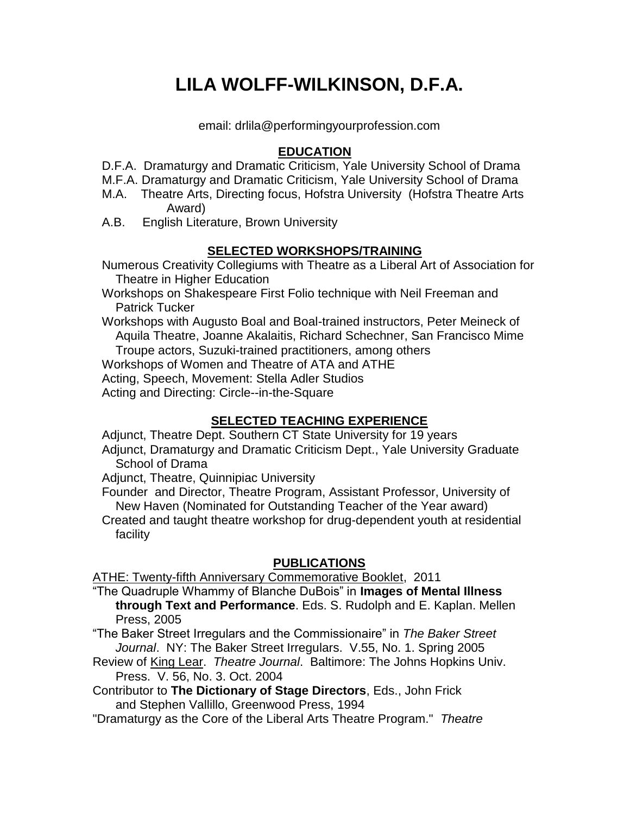# **LILA WOLFF-WILKINSON, D.F.A.**

email: drlila@performingyourprofession.com

### **EDUCATION**

D.F.A. Dramaturgy and Dramatic Criticism, Yale University School of Drama

M.F.A. Dramaturgy and Dramatic Criticism, Yale University School of Drama

- M.A. Theatre Arts, Directing focus, Hofstra University (Hofstra Theatre Arts Award)
- A.B. English Literature, Brown University

## **SELECTED WORKSHOPS/TRAINING**

Numerous Creativity Collegiums with Theatre as a Liberal Art of Association for Theatre in Higher Education

Workshops on Shakespeare First Folio technique with Neil Freeman and Patrick Tucker

Workshops with Augusto Boal and Boal-trained instructors, Peter Meineck of Aquila Theatre, Joanne Akalaitis, Richard Schechner, San Francisco Mime Troupe actors, Suzuki-trained practitioners, among others

Workshops of Women and Theatre of ATA and ATHE

Acting, Speech, Movement: Stella Adler Studios

Acting and Directing: Circle--in-the-Square

## **SELECTED TEACHING EXPERIENCE**

Adjunct, Theatre Dept. Southern CT State University for 19 years

Adjunct, Dramaturgy and Dramatic Criticism Dept., Yale University Graduate School of Drama

Adjunct, Theatre, Quinnipiac University

Founder and Director, Theatre Program, Assistant Professor, University of New Haven (Nominated for Outstanding Teacher of the Year award)

Created and taught theatre workshop for drug-dependent youth at residential facility

## **PUBLICATIONS**

ATHE: Twenty-fifth Anniversary Commemorative Booklet, 2011

"The Quadruple Whammy of Blanche DuBois" in **Images of Mental Illness through Text and Performance**. Eds. S. Rudolph and E. Kaplan. Mellen Press, 2005

"The Baker Street Irregulars and the Commissionaire" in *The Baker Street Journal*. NY: The Baker Street Irregulars. V.55, No. 1. Spring 2005

Review of King Lear. *Theatre Journal*. Baltimore: The Johns Hopkins Univ. Press. V. 56, No. 3. Oct. 2004

Contributor to **The Dictionary of Stage Directors**, Eds., John Frick and Stephen Vallillo, Greenwood Press, 1994

"Dramaturgy as the Core of the Liberal Arts Theatre Program." *Theatre*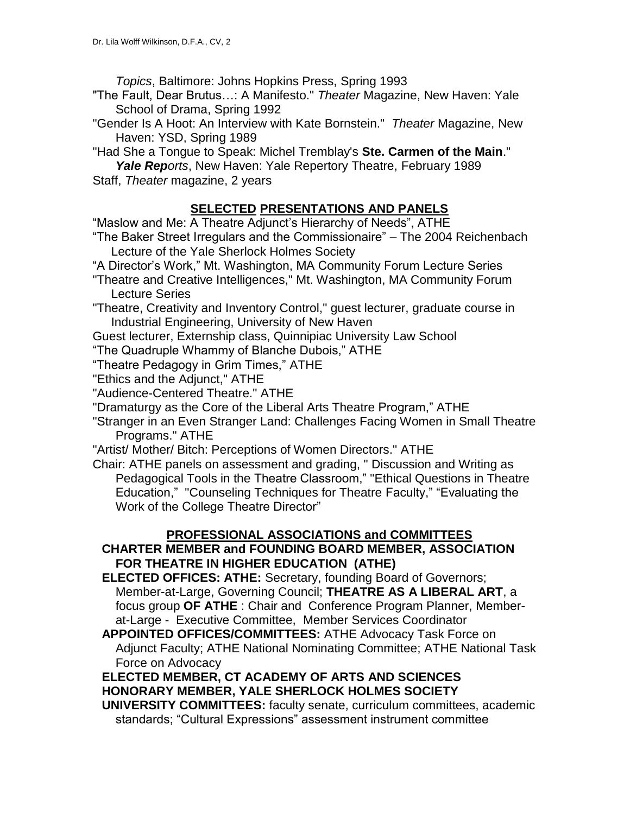*Topics*, Baltimore: Johns Hopkins Press, Spring 1993

- "The Fault, Dear Brutus…: A Manifesto." *Theater* Magazine, New Haven: Yale School of Drama, Spring 1992
- "Gender Is A Hoot: An Interview with Kate Bornstein." *Theater* Magazine, New Haven: YSD, Spring 1989
- "Had She a Tongue to Speak: Michel Tremblay's **Ste. Carmen of the Main**."
- *Yale Reports*, New Haven: Yale Repertory Theatre, February 1989 Staff, *Theater* magazine, 2 years

# **SELECTED PRESENTATIONS AND PANELS**

"Maslow and Me: A Theatre Adjunct's Hierarchy of Needs", ATHE

- "The Baker Street Irregulars and the Commissionaire" The 2004 Reichenbach Lecture of the Yale Sherlock Holmes Society
- "A Director's Work," Mt. Washington, MA Community Forum Lecture Series
- "Theatre and Creative Intelligences," Mt. Washington, MA Community Forum Lecture Series
- "Theatre, Creativity and Inventory Control," guest lecturer, graduate course in Industrial Engineering, University of New Haven
- Guest lecturer, Externship class, Quinnipiac University Law School
- "The Quadruple Whammy of Blanche Dubois," ATHE
- "Theatre Pedagogy in Grim Times," ATHE
- "Ethics and the Adjunct," ATHE

"Audience-Centered Theatre." ATHE

- "Dramaturgy as the Core of the Liberal Arts Theatre Program," ATHE
- "Stranger in an Even Stranger Land: Challenges Facing Women in Small Theatre Programs." ATHE
- "Artist/ Mother/ Bitch: Perceptions of Women Directors." ATHE
- Chair: ATHE panels on assessment and grading, " Discussion and Writing as Pedagogical Tools in the Theatre Classroom," "Ethical Questions in Theatre Education," "Counseling Techniques for Theatre Faculty," "Evaluating the Work of the College Theatre Director"

## **PROFESSIONAL ASSOCIATIONS and COMMITTEES**

## **CHARTER MEMBER and FOUNDING BOARD MEMBER, ASSOCIATION FOR THEATRE IN HIGHER EDUCATION (ATHE)**

- **ELECTED OFFICES: ATHE:** Secretary, founding Board of Governors; Member-at-Large, Governing Council; **THEATRE AS A LIBERAL ART**, a focus group **OF ATHE** : Chair and Conference Program Planner, Memberat-Large - Executive Committee, Member Services Coordinator
- **APPOINTED OFFICES/COMMITTEES:** ATHE Advocacy Task Force on Adjunct Faculty; ATHE National Nominating Committee; ATHE National Task Force on Advocacy

**ELECTED MEMBER, CT ACADEMY OF ARTS AND SCIENCES HONORARY MEMBER, YALE SHERLOCK HOLMES SOCIETY**

**UNIVERSITY COMMITTEES:** faculty senate, curriculum committees, academic standards; "Cultural Expressions" assessment instrument committee